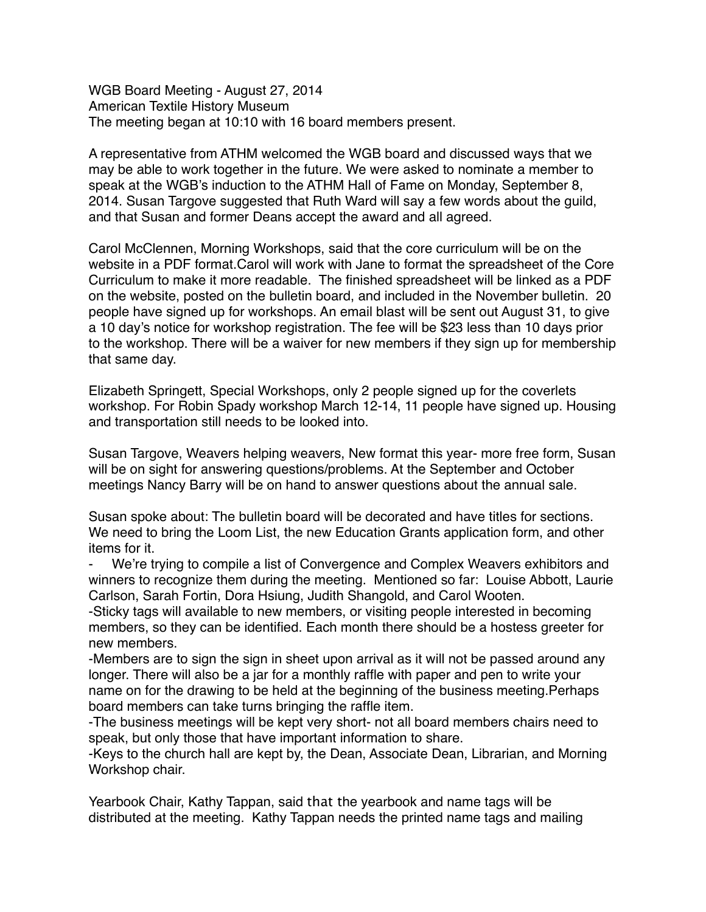WGB Board Meeting - August 27, 2014 American Textile History Museum The meeting began at 10:10 with 16 board members present.

A representative from ATHM welcomed the WGB board and discussed ways that we may be able to work together in the future. We were asked to nominate a member to speak at the WGB's induction to the ATHM Hall of Fame on Monday, September 8, 2014. Susan Targove suggested that Ruth Ward will say a few words about the guild, and that Susan and former Deans accept the award and all agreed.

Carol McClennen, Morning Workshops, said that the core curriculum will be on the website in a PDF format.Carol will work with Jane to format the spreadsheet of the Core Curriculum to make it more readable. The finished spreadsheet will be linked as a PDF on the website, posted on the bulletin board, and included in the November bulletin. 20 people have signed up for workshops. An email blast will be sent out August 31, to give a 10 day's notice for workshop registration. The fee will be \$23 less than 10 days prior to the workshop. There will be a waiver for new members if they sign up for membership that same day.

Elizabeth Springett, Special Workshops, only 2 people signed up for the coverlets workshop. For Robin Spady workshop March 12-14, 11 people have signed up. Housing and transportation still needs to be looked into.

Susan Targove, Weavers helping weavers, New format this year- more free form, Susan will be on sight for answering questions/problems. At the September and October meetings Nancy Barry will be on hand to answer questions about the annual sale.

Susan spoke about: The bulletin board will be decorated and have titles for sections. We need to bring the Loom List, the new Education Grants application form, and other items for it.

We're trying to compile a list of Convergence and Complex Weavers exhibitors and winners to recognize them during the meeting. Mentioned so far: Louise Abbott, Laurie Carlson, Sarah Fortin, Dora Hsiung, Judith Shangold, and Carol Wooten.

-Sticky tags will available to new members, or visiting people interested in becoming members, so they can be identified. Each month there should be a hostess greeter for new members.

-Members are to sign the sign in sheet upon arrival as it will not be passed around any longer. There will also be a jar for a monthly raffle with paper and pen to write your name on for the drawing to be held at the beginning of the business meeting.Perhaps board members can take turns bringing the raffle item.

-The business meetings will be kept very short- not all board members chairs need to speak, but only those that have important information to share.

-Keys to the church hall are kept by, the Dean, Associate Dean, Librarian, and Morning Workshop chair.

Yearbook Chair, Kathy Tappan, said that the yearbook and name tags will be distributed at the meeting. Kathy Tappan needs the printed name tags and mailing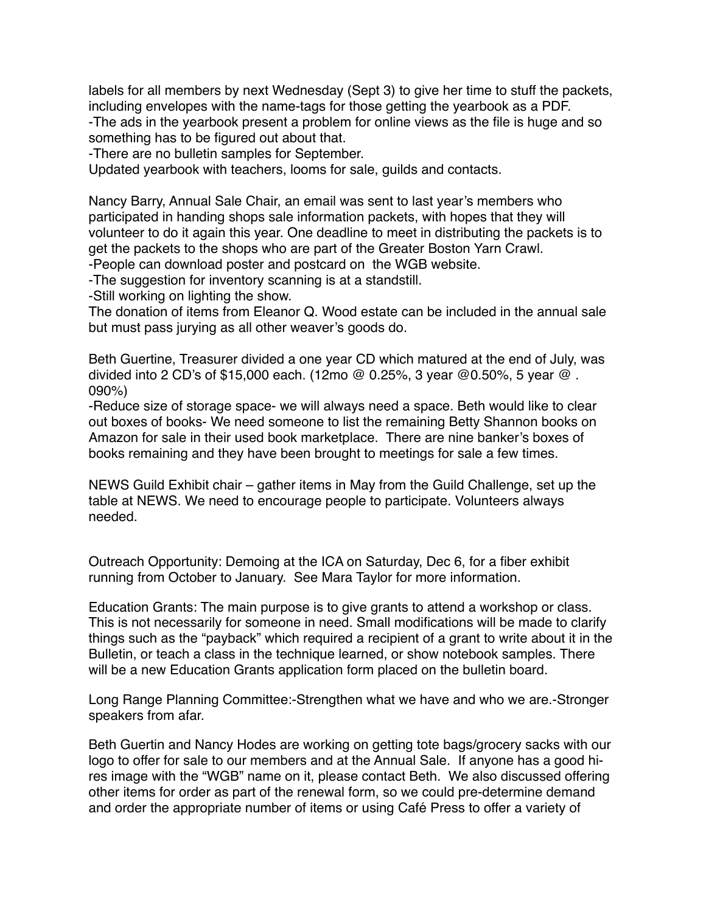labels for all members by next Wednesday (Sept 3) to give her time to stuff the packets, including envelopes with the name-tags for those getting the yearbook as a PDF.

-The ads in the yearbook present a problem for online views as the file is huge and so something has to be figured out about that.

-There are no bulletin samples for September.

Updated yearbook with teachers, looms for sale, guilds and contacts.

Nancy Barry, Annual Sale Chair, an email was sent to last year's members who participated in handing shops sale information packets, with hopes that they will volunteer to do it again this year. One deadline to meet in distributing the packets is to get the packets to the shops who are part of the Greater Boston Yarn Crawl.

-People can download poster and postcard on the WGB website.

-The suggestion for inventory scanning is at a standstill.

-Still working on lighting the show.

The donation of items from Eleanor Q. Wood estate can be included in the annual sale but must pass jurying as all other weaver's goods do.

Beth Guertine, Treasurer divided a one year CD which matured at the end of July, was divided into 2 CD's of \$15,000 each. (12mo @ 0.25%, 3 year @0.50%, 5 year @ . 090%)

-Reduce size of storage space- we will always need a space. Beth would like to clear out boxes of books- We need someone to list the remaining Betty Shannon books on Amazon for sale in their used book marketplace. There are nine banker's boxes of books remaining and they have been brought to meetings for sale a few times.

NEWS Guild Exhibit chair – gather items in May from the Guild Challenge, set up the table at NEWS. We need to encourage people to participate. Volunteers always needed.

Outreach Opportunity: Demoing at the ICA on Saturday, Dec 6, for a fiber exhibit running from October to January. See Mara Taylor for more information.

Education Grants: The main purpose is to give grants to attend a workshop or class. This is not necessarily for someone in need. Small modifications will be made to clarify things such as the "payback" which required a recipient of a grant to write about it in the Bulletin, or teach a class in the technique learned, or show notebook samples. There will be a new Education Grants application form placed on the bulletin board.

Long Range Planning Committee:-Strengthen what we have and who we are.-Stronger speakers from afar.

Beth Guertin and Nancy Hodes are working on getting tote bags/grocery sacks with our logo to offer for sale to our members and at the Annual Sale. If anyone has a good hires image with the "WGB" name on it, please contact Beth. We also discussed offering other items for order as part of the renewal form, so we could pre-determine demand and order the appropriate number of items or using Café Press to offer a variety of